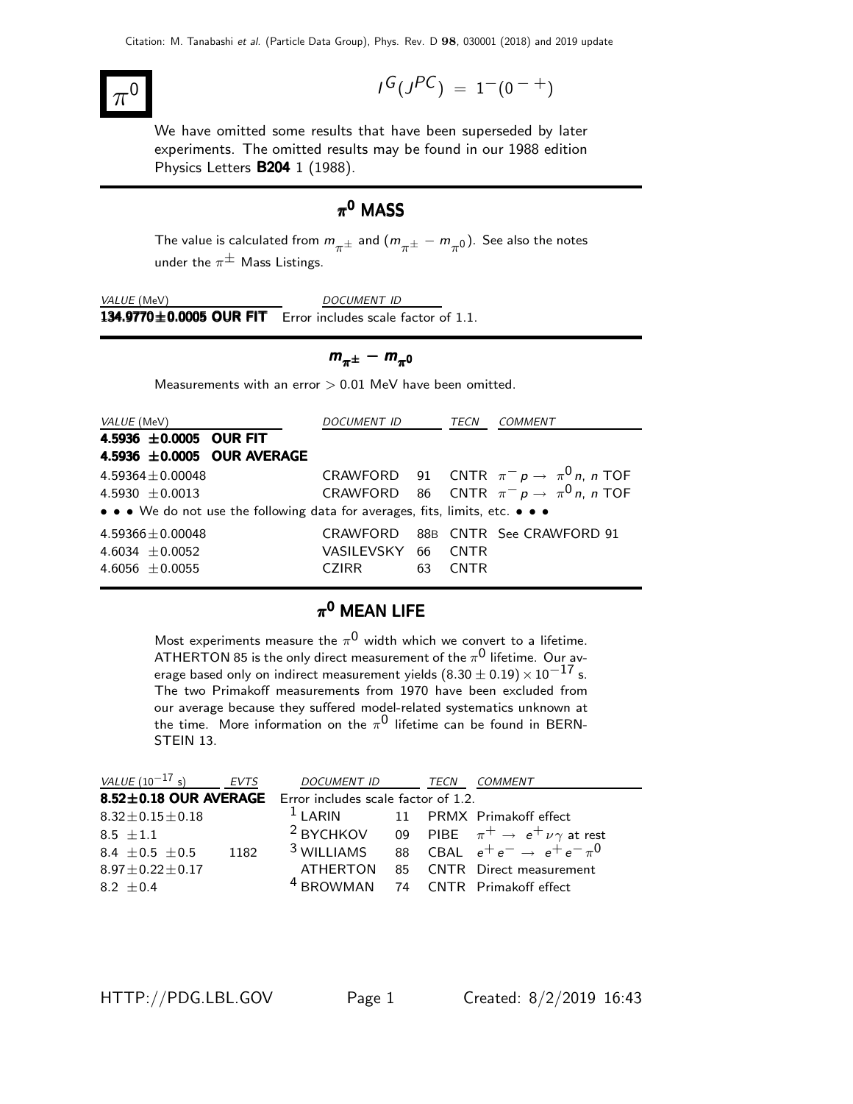### $\pi$  $\overline{0}$   $\overline{1}$

$$
I^G(J^{PC})\ =\ 1^-(0^{\ -\ +})
$$

We have omitted some results that have been superseded by later experiments. The omitted results may be found in our 1988 edition Physics Letters **B204** 1 (1988).

## $\pi^{\mathbf{0}}$  MASS

The value is calculated from  $m_{\pi^{\pm}}$  and  $(m_{\pi^{\pm}} - m_{\pi^0})$ . See also the notes under the  $\pi^{\pm}$  Mass Listings.

VALUE (MeV) DOCUMENT ID  $134.9770 \pm 0.0005$  OUR FIT Error includes scale factor of 1.1.

$$
m_{\pi^{\pm}} - m_{\pi^0}
$$

Measurements with an error  $> 0.01$  MeV have been omitted.

| <i>VALUE</i> (MeV)                                                            | DOCUMENT ID TECN   |    |             | COMMENT                                        |
|-------------------------------------------------------------------------------|--------------------|----|-------------|------------------------------------------------|
| 4.5936 ±0.0005 OUR FIT                                                        |                    |    |             |                                                |
| 4.5936 ±0.0005 OUR AVERAGE                                                    |                    |    |             |                                                |
| $4.59364 \pm 0.00048$                                                         |                    |    |             | CRAWFORD 91 CNTR $\pi^- p \to \pi^0 n$ , n TOF |
| $4.5930 + 0.0013$                                                             |                    |    |             | CRAWFORD 86 CNTR $\pi^- p \to \pi^0 n$ , n TOF |
| • • • We do not use the following data for averages, fits, limits, etc. • • • |                    |    |             |                                                |
| $4.59366 \pm 0.00048$                                                         |                    |    |             | CRAWFORD 88B CNTR See CRAWFORD 91              |
| 4.6034 $\pm$ 0.0052                                                           | VASILEVSKY 66 CNTR |    |             |                                                |
| 4.6056 $\pm$ 0.0055                                                           | CZIRR              | 63 | <b>CNTR</b> |                                                |

### $\pi^{\mathbf{0}}$  MEAN LIFE

Most experiments measure the  $\pi^{\mathsf{0}}$  width which we convert to a lifetime. ATHERTON 85 is the only direct measurement of the  $\pi^{\mathsf{0}}$  lifetime. Our average based only on indirect measurement yields  $(8.30 \pm 0.19) \times 10^{-17}$  s. The two Primakoff measurements from 1970 have been excluded from our average because they suffered model-related systematics unknown at the time. More information on the  $\pi^0$  lifetime can be found in BERN-STEIN 13.

| <i>VALUE</i> ( $10^{-17}$ s)                              | EVTS | DOCUMENT ID                                   | TECN | <b>COMMENT</b>                                                          |
|-----------------------------------------------------------|------|-----------------------------------------------|------|-------------------------------------------------------------------------|
| 8.52±0.18 OUR AVERAGE Error includes scale factor of 1.2. |      |                                               |      |                                                                         |
| $8.32 \pm 0.15 \pm 0.18$                                  |      | <sup>1</sup> I ARIN 11 PRMX Primakoff effect  |      |                                                                         |
| $8.5 + 1.1$                                               |      |                                               |      | <sup>2</sup> BYCHKOV 09 PIBE $\pi^+ \rightarrow e^+ \nu \gamma$ at rest |
| 8.4 $\pm$ 0.5 $\pm$ 0.5                                   | 1182 | $3$ WILLIAMS                                  |      | 88 CBAL $e^+e^- \rightarrow e^+e^- \pi^0$                               |
| $8.97 \pm 0.22 \pm 0.17$                                  |      |                                               |      | ATHERTON 85 CNTR Direct measurement                                     |
| $8.2 + 0.4$                                               |      | <sup>4</sup> BROWMAN 74 CNTR Primakoff effect |      |                                                                         |

HTTP://PDG.LBL.GOV Page 1 Created: 8/2/2019 16:43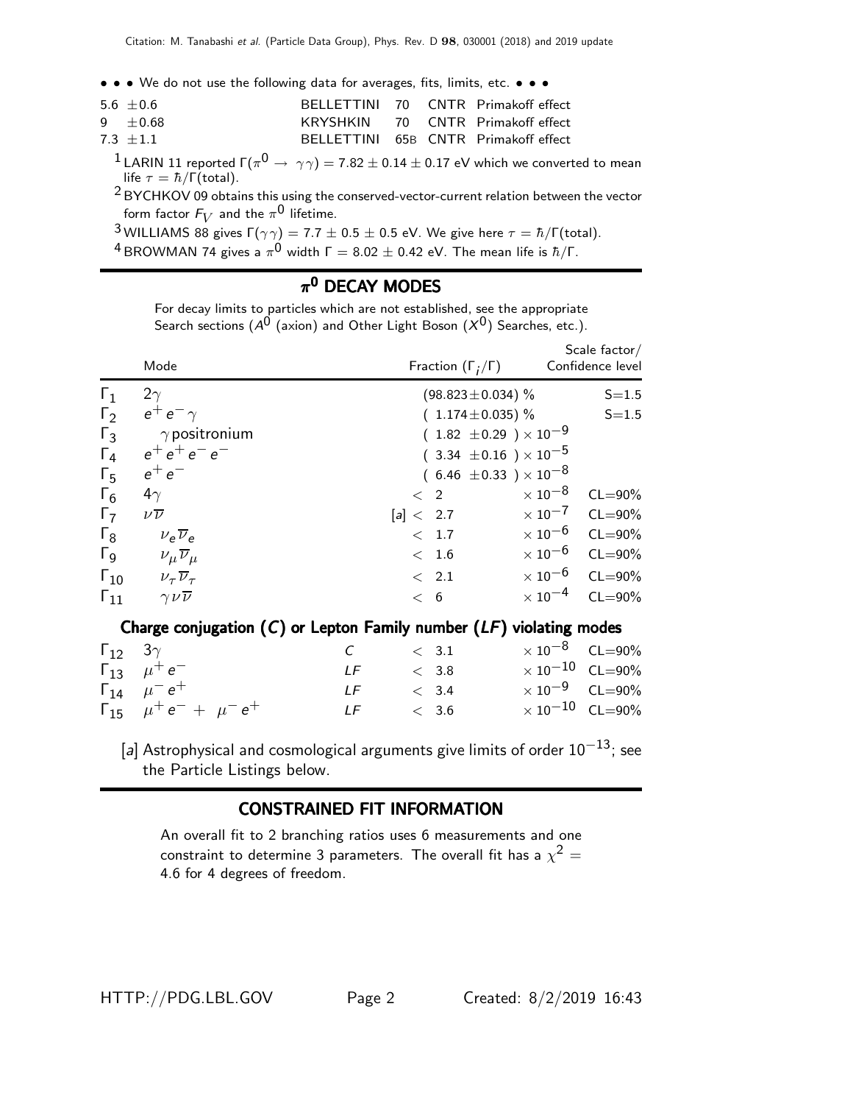• • • We do not use the following data for averages, fits, limits, etc. • • •

| 5.6 $\pm$ 0.6 |  | BELLETTINI 70 CNTR Primakoff effect  |
|---------------|--|--------------------------------------|
| $9 + 0.68$    |  | KRYSHKIN 70 CNTR Primakoff effect    |
| $7.3 + 1.1$   |  | BELLETTINI 65B CNTR Primakoff effect |

 $^1$ LARIN 11 reported Γ $(\pi^{\mathsf{0}} \to\ \gamma\gamma) =$  7.82  $\pm$  0.14  $\pm$  0.17 eV which we converted to mean life  $\tau = \hbar / \Gamma(\text{total})$ .

2 BYCHKOV 09 obtains this using the conserved-vector-current relation between the vector form factor  $\mathsf{F}_V$  and the  $\pi^{\mathsf{0}}$  lifetime.

<sup>3</sup> WILLIAMS 88 gives  $\Gamma(\gamma\gamma) = 7.7 \pm 0.5 \pm 0.5$  eV. We give here  $\tau = \hbar/\Gamma(\text{total})$ .

 $^4$ BROWMAN 74 gives a  $\pi^0$  width Г  $=8.02\pm0.42$  eV. The mean life is  $\hbar/\Gamma.$ 

### $\pi^{\mathbf{0}}$  DECAY MODES

For decay limits to particles which are not established, see the appropriate Search sections ( $\mathcal{A}^\mathbf{0}$  (axion) and Other Light Boson  $(\mathcal{X}^\mathbf{0})$  Searches, etc.).

|                       | Mode                                 | Fraction $(\Gamma_i/\Gamma)$     |                           | Scale $factor/$<br>Confidence level |
|-----------------------|--------------------------------------|----------------------------------|---------------------------|-------------------------------------|
| $\mathsf{L}_1$        | $2\gamma$                            | $(98.823 \pm 0.034)$ %           |                           | $S = 1.5$                           |
| $\Gamma_2$            | $e^+e^-\gamma$                       | $(1.174 \pm 0.035)$ %            |                           | $S = 1.5$                           |
| $\Gamma_3$            | $\gamma$ positronium                 | $(1.82 \pm 0.29) \times 10^{-9}$ |                           |                                     |
| $\Gamma_4$            | $e^+e^+e^-e^-$                       | $(3.34 \pm 0.16) \times 10^{-5}$ |                           |                                     |
| $\Gamma_5$            | $e^+e^-$                             | $(6.46 \pm 0.33) \times 10^{-8}$ |                           |                                     |
| $\Gamma_6$            | $4\gamma$                            | $\langle$ 2                      | $\times$ 10 $^{-8}$       | $CL = 90\%$                         |
| $\Gamma_7$            | $\nu\overline{\nu}$                  | [a] < 2.7                        | $\times$ 10 <sup>-7</sup> | $CL = 90\%$                         |
| $\Gamma_8$            | $v_e \overline{v}_e$                 | < 1.7                            | $\times$ 10 $^{-6}$       | $CL = 90\%$                         |
| $\Gamma$ <sub>9</sub> | $\nu_\mu \overline{\nu}_\mu$         | < 1.6                            | $\times$ 10 $^{-6}$       | $CL = 90\%$                         |
| $\Gamma_{10}$         | $\nu_{\tau}$ $\overline{\nu}_{\tau}$ | < 2.1                            | $\times$ 10 $^{-6}$       | $CL = 90\%$                         |
| $\Gamma_{11}$         | $\gamma \nu \overline{\nu}$          | < 6                              | $\times$ 10 $^{-4}$       | $CL = 90\%$                         |
|                       |                                      |                                  |                           |                                     |

### Charge conjugation  $(C)$  or Lepton Family number  $(LF)$  violating modes

| $\Gamma_{12}$ 3 $\gamma$            | $C \qquad \qquad < 3.1$ |       | $\times$ 10 <sup>-8</sup> CL=90% |  |
|-------------------------------------|-------------------------|-------|----------------------------------|--|
| $\Gamma_{13}$ $\mu^+e^-$            | LF 200                  | < 3.8 | $\times$ 10 $^{-10}$ CL=90%      |  |
| $\Gamma_{14}$ $\mu^- e^+$           | $LF \t< 3.4$            |       | $\times$ 10 <sup>-9</sup> CL=90% |  |
| $\Gamma_{15}$ $\mu^+e^- + \mu^-e^+$ | $LF \t\t < 3.6$         |       | $\times 10^{-10}$ CL=90%         |  |

[a] Astrophysical and cosmological arguments give limits of order  $10^{-13}$ ; see the Particle Listings below.

### CONSTRAINED FIT INFORMATION

An overall fit to 2 branching ratios uses 6 measurements and one constraint to determine 3 parameters. The overall fit has a  $\chi^2 =$ 4.6 for 4 degrees of freedom.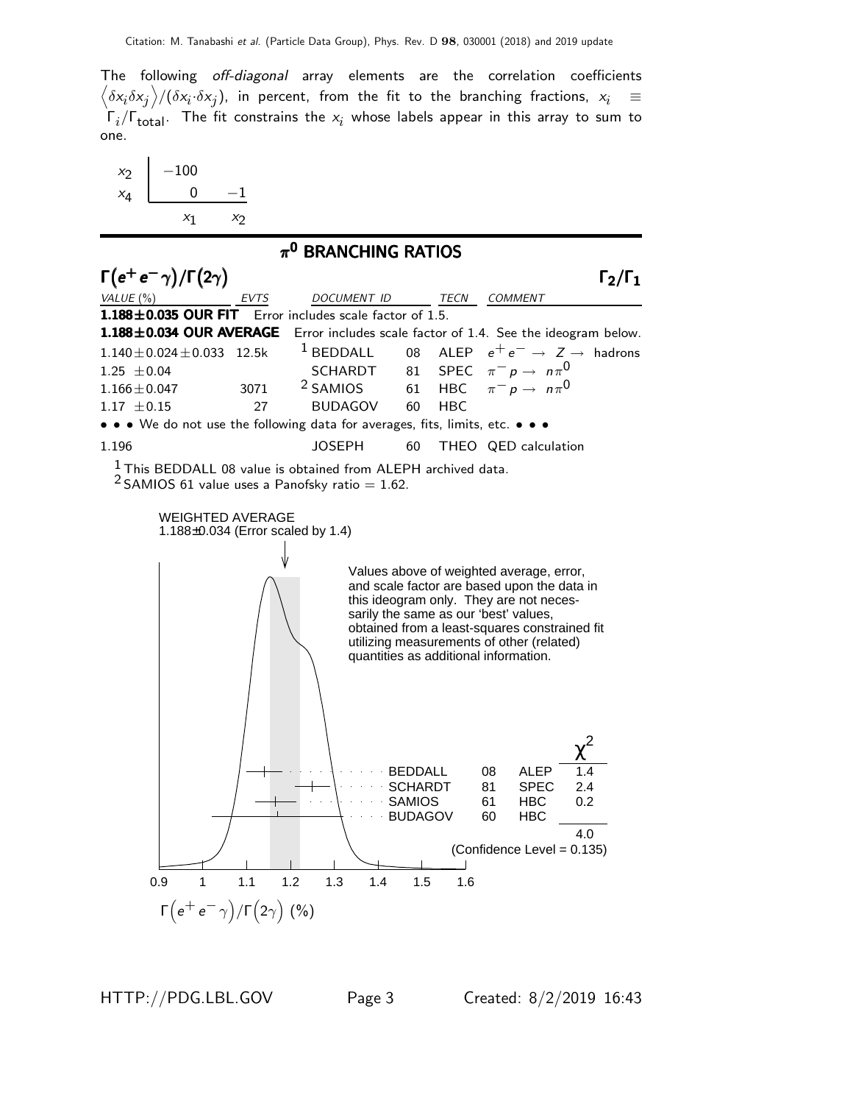The following off-diagonal array elements are the correlation coefficients  $\left<\delta x_i\delta x_j\right>$ / $(\delta x_i\cdot\delta x_j)$ , in percent, from the fit to the branching fractions,  $x_i$   $\;\equiv$  $\Gamma_i/\Gamma_{\rm total}$ . The fit constrains the  $x_i$  whose labels appear in this array to sum to one.



HTTP://PDG.LBL.GOV Page 3 Created: 8/2/2019 16:43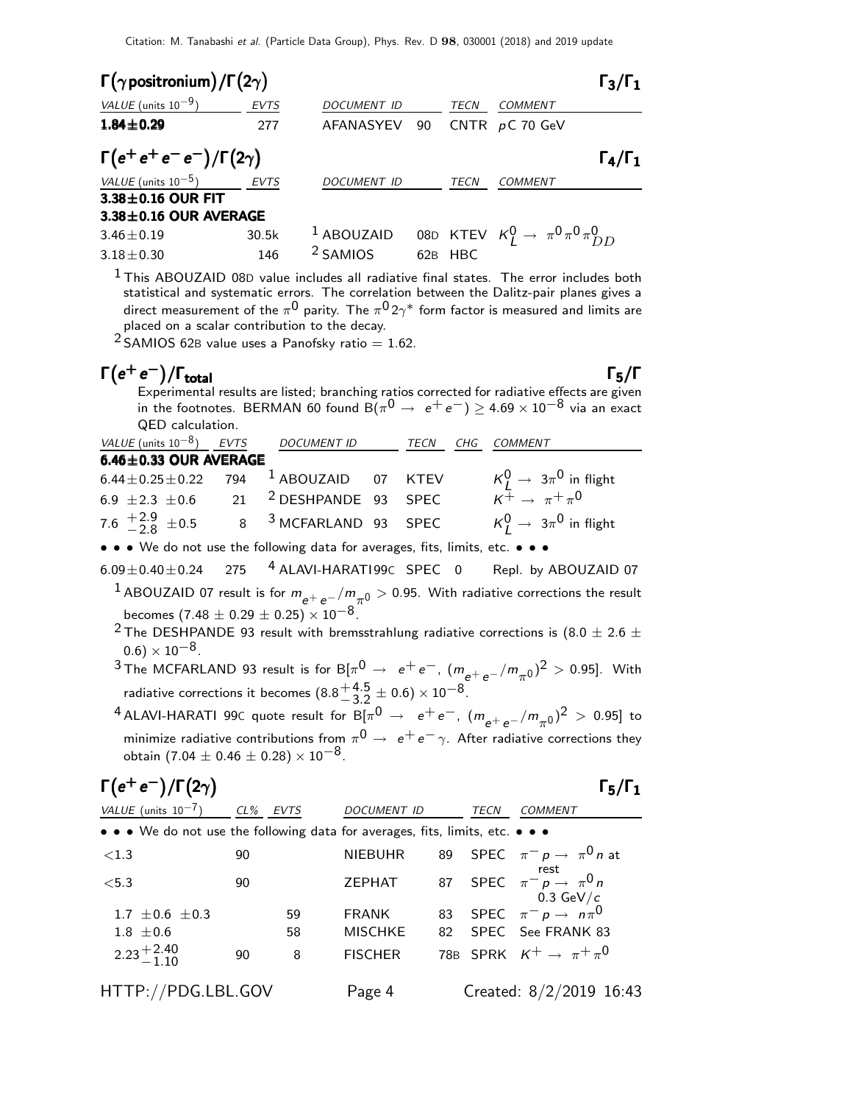| $\Gamma(\gamma$ positronium) / $\Gamma(2\gamma)$ |             |                     |     |             |                                                     |                     |  |  |
|--------------------------------------------------|-------------|---------------------|-----|-------------|-----------------------------------------------------|---------------------|--|--|
| VALUE (units $10^{-9}$ )                         | <b>EVTS</b> | <b>DOCUMENT ID</b>  |     | TECN        | <b>COMMENT</b>                                      |                     |  |  |
| $1.84 \pm 0.29$                                  | 277         | AFANASYEV           | 90  |             | CNTR $pC$ 70 GeV                                    |                     |  |  |
| $\Gamma(e^+e^+e^-e^-)/\Gamma(2\gamma)$           |             |                     |     |             |                                                     | $\Gamma_4/\Gamma_1$ |  |  |
| VALUE (units $10^{-5}$ )                         | EVTS        | <b>DOCUMENT ID</b>  |     | <b>TECN</b> | <b>COMMENT</b>                                      |                     |  |  |
| $3.38\pm0.16$ OUR FIT                            |             |                     |     |             |                                                     |                     |  |  |
| $3.38 \pm 0.16$ OUR AVERAGE                      |             |                     |     |             |                                                     |                     |  |  |
| $3.46 \pm 0.19$                                  | 30.5k       | $1$ ABOUZAID        |     |             | 08D KTEV $K_I^0 \rightarrow \pi^0 \pi^0 \pi^0_{DD}$ |                     |  |  |
| $3.18 \pm 0.30$                                  | 146         | <sup>2</sup> SAMIOS | 62B | <b>HBC</b>  |                                                     |                     |  |  |

 $<sup>1</sup>$ This ABOUZAID 08D value includes all radiative final states. The error includes both</sup> statistical and systematic errors. The correlation between the Dalitz-pair planes gives a direct measurement of the  $\pi^{\mathsf{0}}$  parity. The  $\pi^{\mathsf{0}}$  2 $\gamma^*$  form factor is measured and limits are placed on a scalar contribution to the decay.

 $2$  SAMIOS 62B value uses a Panofsky ratio = 1.62.

# $Γ(e^+e^-)$

 $\Gamma(e^+e^-)/\Gamma_{\text{total}}$  Γ<sub>5</sub>/Γ Experimental results are listed; branching ratios corrected for radiative effects are given in the footnotes. BERMAN 60 found  $\breve{\mathrm{B}}(\pi^0 \rightarrow\ e^+e^-) \geq$  4.69  $\times$  10 $^{-8}$  via an exact QED calculation.

| VALUE (units $10^{-8}$ ) EVTS                                | DOCUMENT ID                       | TECN | CHG COMMENT                                                                     |
|--------------------------------------------------------------|-----------------------------------|------|---------------------------------------------------------------------------------|
| $6.46 \pm 0.33$ OUR AVERAGE                                  |                                   |      |                                                                                 |
| 6.44 $\pm$ 0.25 $\pm$ 0.22 794 <sup>1</sup> ABOUZAID 07 KTEV |                                   |      | $\kappa_L^0 \rightarrow 3\pi^0$ in flight<br>$\kappa^+ \rightarrow \pi^+ \pi^0$ |
| 6.9 $\pm 2.3 \pm 0.6$                                        | 21 <sup>2</sup> DESHPANDE 93 SPEC |      |                                                                                 |
| 7.6 $^{+2.9}_{-2.8}$ ± 0.5                                   | 8 <sup>3</sup> MCFARLAND 93 SPEC  |      | $K_I^0 \rightarrow 3\pi^0$ in flight                                            |

• • • We do not use the following data for averages, fits, limits, etc. • • •

 $6.09\pm0.40\pm0.24$  275 <sup>4</sup> ALAVI-HARATI 99C SPEC 0 Repl. by ABOUZAID 07

<sup>1</sup> ABOUZAID 07 result is for  $m_{e^+e^-}/m_{\pi^0} >$  0.95. With radiative corrections the result becomes  $(7.48 \pm 0.29 \pm 0.25) \times 10^{-8}$ .

- <sup>2</sup> The DESHPANDE 93 result with bremsstrahlung radiative corrections is (8.0  $\pm$  2.6  $\pm$  $(0.6) \times 10^{-8}$ .
- $3$  The MCFARLAND 93 result is for B[ $\pi^0 \rightarrow e^+e^-,~(m_{e^+e^-}/m_{\pi^0})^2 > 0.95$ ]. With radiative corrections it becomes  $(8.8<sup>+4.5</sup><sub>3.2</sub>)$  $^{+4.5}_{-3.2} \pm 0.6 \times 10^{-8}.$

 $^4$ ALAVI-HARATI 99C quote result for B[ $\pi^0 \rightarrow \ e^+e^-$ ,  $(m_{e^+e^-}/m_{\pi^0})^2 > 0.95$ ] to minimize radiative contributions from  $\pi^{\mathsf{0}} \rightarrow\ e^+e^-\gamma$ . After radiative corrections they obtain (7.04  $\pm$  0.46  $\pm$  0.28)  $\times$  10<sup>-8</sup>.

# $\Gamma(e^+e^-)/\Gamma(2\gamma)$  Γ<sub>5</sub>/Γ<sub>1</sub>

Γ5/Γ

| VALUE (units $10^{-7}$ )                                                      | CL% EVTS |    | <b>DOCUMENT ID</b> |     | TECN | <b>COMMENT</b>                                                      |
|-------------------------------------------------------------------------------|----------|----|--------------------|-----|------|---------------------------------------------------------------------|
|                                                                               |          |    |                    |     |      |                                                                     |
| • • • We do not use the following data for averages, fits, limits, etc. • • • |          |    |                    |     |      |                                                                     |
| < 1.3                                                                         | 90       |    | <b>NIEBUHR</b>     |     |      | 89 SPEC $\pi^- p \rightarrow \pi^0 n$ at                            |
| < 5.3                                                                         | 90       |    | ZEPHAT             |     |      | rest<br>87 SPEC $\pi^{-}$ $p \rightarrow \pi^{0} n$<br>0.3 GeV/ $c$ |
| 1.7 $\pm$ 0.6 $\pm$ 0.3                                                       |          | 59 | <b>FRANK</b>       |     |      | 83 SPEC $\pi^- p \to n\pi^0$                                        |
| $1.8 \pm 0.6$                                                                 |          | 58 | <b>MISCHKE</b>     | 82. |      | SPEC See FRANK 83                                                   |
| $2.23 + 2.40$                                                                 | 90       | 8  | <b>FISCHER</b>     |     |      | 78B SPRK $K^+ \rightarrow \pi^+ \pi^0$                              |
| HTTP://PDG.LBL.GOV                                                            |          |    | Page 4             |     |      | Created: 8/2/2019 16:43                                             |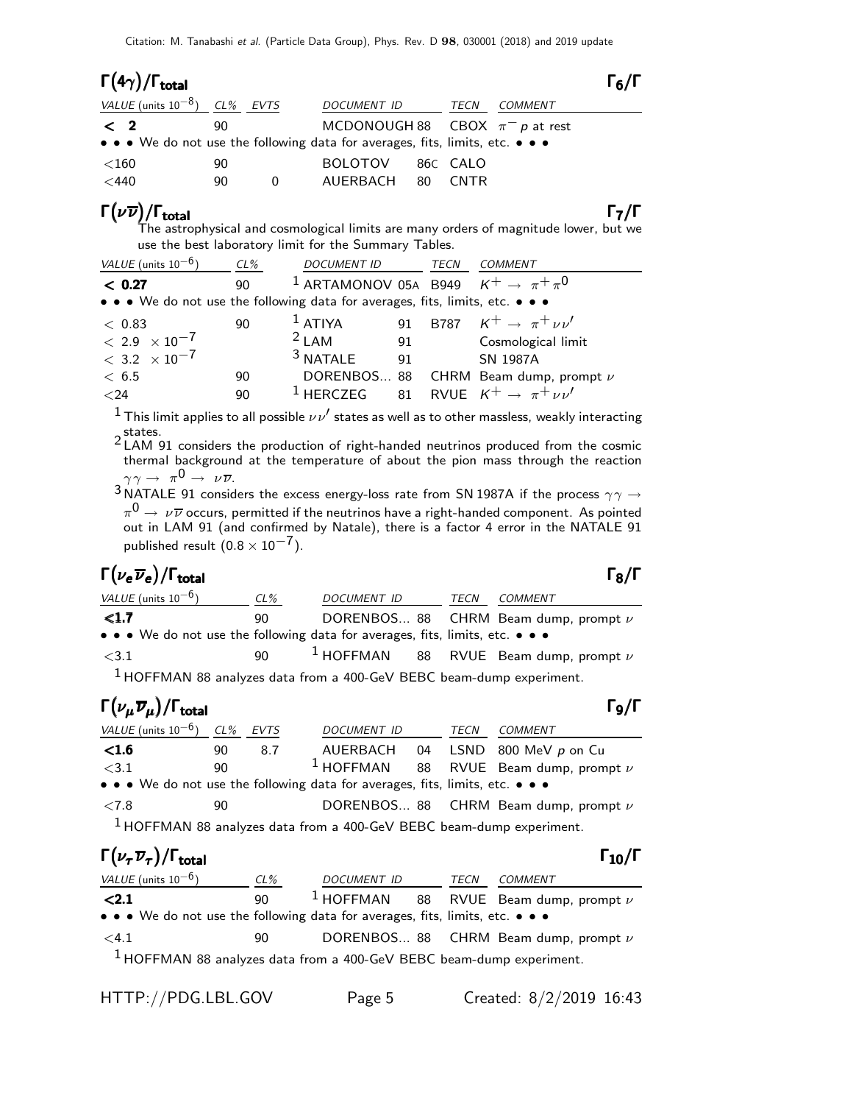| $\Gamma(4\gamma)/\Gamma_{\rm total}$                                          |    |                                     |    |             |         | $\Gamma_6/\Gamma$ |
|-------------------------------------------------------------------------------|----|-------------------------------------|----|-------------|---------|-------------------|
| VALUE (units $10^{-8}$ ) CL% EVTS                                             |    | <b>DOCUMENT ID</b>                  |    | TECN        | COMMENT |                   |
| $\langle$ 2                                                                   | 90 | MCDONOUGH 88 CBOX $\pi^- p$ at rest |    |             |         |                   |
| • • • We do not use the following data for averages, fits, limits, etc. • • • |    |                                     |    |             |         |                   |
| ${<}160$                                                                      | 90 | <b>BOLOTOV</b>                      |    | 86C CALO    |         |                   |
| $<$ 440                                                                       | 90 | AUERBACH                            | 80 | <b>CNTR</b> |         |                   |

## $\Gamma(\nu\overline{\nu})/\Gamma_{\rm total}$ Γ<sub>7</sub>/Γ

 $T_6/\Gamma$ 

The astrophysical and cosmological limits are many orders of magnitude lower, but we use the best laboratory limit for the Summary Tables.

| VALUE (units $10^{-6}$ )                                                      | $CL\%$ | <b>DOCUMENT ID</b>                                            |    | TECN | COMMENT                                  |
|-------------------------------------------------------------------------------|--------|---------------------------------------------------------------|----|------|------------------------------------------|
| < 0.27                                                                        | 90     | <sup>1</sup> ARTAMONOV 05A B949 $K^+ \rightarrow \pi^+ \pi^0$ |    |      |                                          |
| • • • We do not use the following data for averages, fits, limits, etc. • • • |        |                                                               |    |      |                                          |
| < 0.83                                                                        | 90     | $1$ ATIYA                                                     |    |      | 91 B787 $K^+ \to \pi^+ \nu \nu'$         |
| $< 2.9 \times 10^{-7}$                                                        |        | $2$ LAM                                                       |    | 91   | Cosmological limit                       |
| $< 3.2 \times 10^{-7}$                                                        |        | <sup>3</sup> NATALE                                           | 91 |      | SN 1987A                                 |
| < 6.5                                                                         | 90     |                                                               |    |      | DORENBOS 88 CHRM Beam dump, prompt $\nu$ |
| $24$                                                                          | 90     | <sup>1</sup> HERCZEG 81 RVUE $K^+ \rightarrow \pi^+ \nu \nu'$ |    |      |                                          |

 $^1$  This limit applies to all possible  $\nu\nu'$  states as well as to other massless, weakly interacting states. 2 LAM 91 considers the production of right-handed neutrinos produced from the cosmic

thermal background at the temperature of about the pion mass through the reaction  $\gamma \gamma \rightarrow \pi^0 \rightarrow \nu \overline{\nu}$ .

 $^3$ NATALE 91 considers the excess energy-loss rate from SN 1987A if the process  $\gamma\gamma \rightarrow$  $\pi^{\mathbf{0}}\to\,\nu\overline{\nu}$  occurs, permitted if the neutrinos have a right-handed component. As pointed out in LAM 91 (and confirmed by Natale), there is a factor 4 error in the NATALE 91 published result  $(0.8 \times 10^{-7})$ .

## Γ $(\nu_e \overline{\nu}_e)/\Gamma_{\rm total}$  Γg/Γ

total and the set of the set of the set of the set of the set of the set of the set of the set of the set of t

| <i>VALUE</i> (units $10^{-6}$ )                                                                                       | $CL\%$ | DOCUMENT ID | TECN | <b>COMMENT</b>                                       |
|-----------------------------------------------------------------------------------------------------------------------|--------|-------------|------|------------------------------------------------------|
| $1.7$                                                                                                                 | 90.    |             |      | DORENBOS 88 CHRM Beam dump, prompt $\nu$             |
| $\bullet \bullet \bullet$ We do not use the following data for averages, fits, limits, etc. $\bullet \bullet \bullet$ |        |             |      |                                                      |
| $<$ 3.1                                                                                                               | 90.    |             |      | <sup>1</sup> HOFFMAN 88 RVUE Beam dump, prompt $\nu$ |
| <sup>1</sup> HOFFMAN 88 analyzes data from a 400-GeV BEBC beam-dump experiment.                                       |        |             |      |                                                      |

# $\Gamma(\nu_{\mu}\overline{\nu}_{\mu})/\Gamma_{\rm total}$  Γg/Γ

| VALUE (units $10^{-6}$ ) CL%                                                  |    | EVTS | <b>DOCUMENT ID</b>                                                              |    | TECN | COMMENT                                              |
|-------------------------------------------------------------------------------|----|------|---------------------------------------------------------------------------------|----|------|------------------------------------------------------|
| $\langle$ 1.6                                                                 | 90 | 8.7  | AUERBACH                                                                        | 04 |      | LSND 800 MeV p on Cu                                 |
| <3.1                                                                          | 90 |      |                                                                                 |    |      | <sup>1</sup> HOFFMAN 88 RVUE Beam dump, prompt $\nu$ |
| • • • We do not use the following data for averages, fits, limits, etc. • • • |    |      |                                                                                 |    |      |                                                      |
| < 7.8                                                                         | 90 |      |                                                                                 |    |      | DORENBOS 88 CHRM Beam dump, prompt $\nu$             |
|                                                                               |    |      | <sup>1</sup> HOFFMAN 88 analyzes data from a 400-GeV BEBC beam-dump experiment. |    |      |                                                      |

# $\Gamma(\nu_\tau \overline{\nu}_\tau)/\Gamma_{\rm total}$  Γ<sub>10</sub>/Γ

| $\Gamma(\nu_\tau \overline{\nu}_\tau)/\Gamma_{\rm total}$                     |        |             |      | $\Gamma_{10}/\Gamma$                                 |
|-------------------------------------------------------------------------------|--------|-------------|------|------------------------------------------------------|
| VALUE (units $10^{-6}$ )                                                      | $CL\%$ | DOCUMENT ID | TECN | COMMENT                                              |
| < 2.1                                                                         | 90     |             |      | <sup>1</sup> HOFFMAN 88 RVUE Beam dump, prompt $\nu$ |
| • • • We do not use the following data for averages, fits, limits, etc. • • • |        |             |      |                                                      |
| $<$ 4.1                                                                       | 90     |             |      | DORENBOS 88 CHRM Beam dump, prompt $\nu$             |
| $1$ HOFFMAN 88 analyzes data from a 400-GeV BEBC beam-dump experiment.        |        |             |      |                                                      |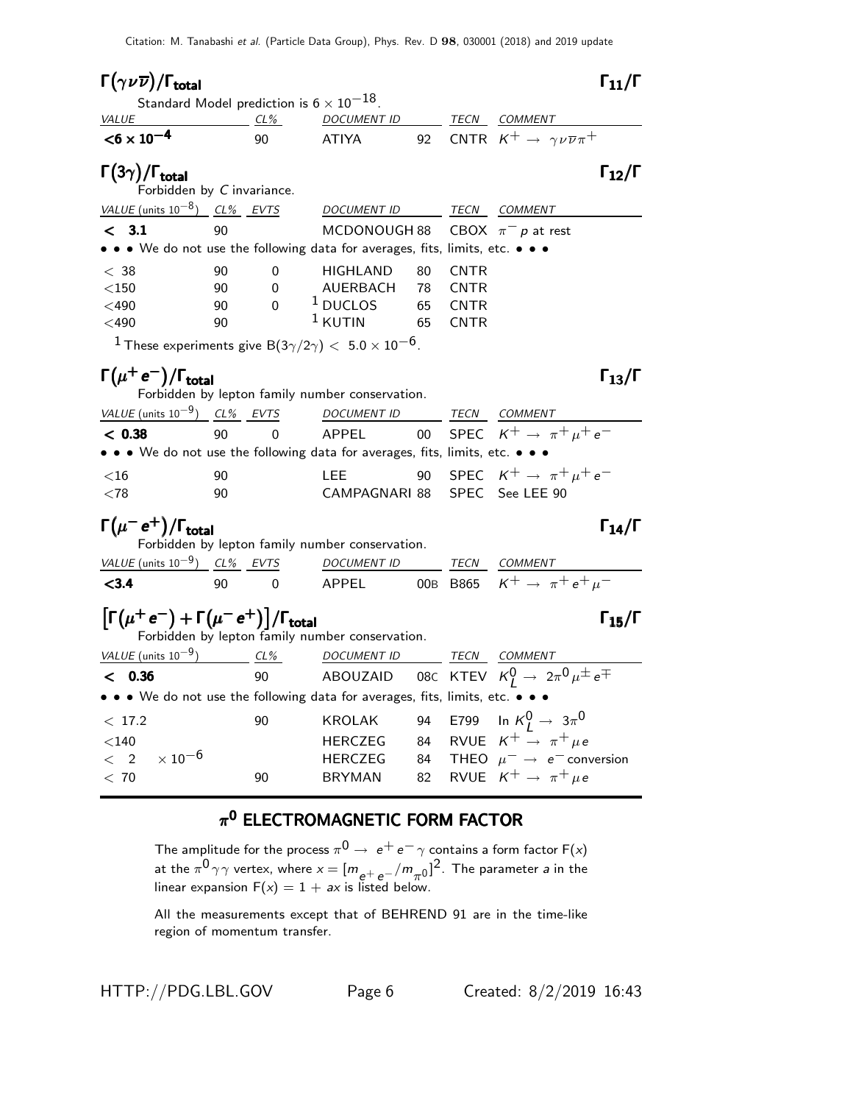| $\Gamma(\gamma\nu\overline{\nu})/\Gamma_{\rm total}$                                                                                                                 |        |          |                                                                               |    |             | $\Gamma_{11}/\Gamma$                                                                     |
|----------------------------------------------------------------------------------------------------------------------------------------------------------------------|--------|----------|-------------------------------------------------------------------------------|----|-------------|------------------------------------------------------------------------------------------|
| Standard Model prediction is $6 \times 10^{-18}$ .                                                                                                                   |        |          |                                                                               |    |             |                                                                                          |
| <i>VALUE</i><br>$<$ 6 $\times$ 10 <sup>-4</sup>                                                                                                                      | $CL\%$ | 90       | DOCUMENT ID<br><b>ATIYA</b>                                                   | 92 |             | TECN COMMENT<br>CNTR $K^+ \rightarrow \gamma \nu \overline{\nu} \pi^+$                   |
|                                                                                                                                                                      |        |          |                                                                               |    |             |                                                                                          |
| $\Gamma(3\gamma)/\Gamma_{\rm total}$<br>Forbidden by C invariance.                                                                                                   |        |          |                                                                               |    |             | $\Gamma_{12}/\Gamma$                                                                     |
| VALUE (units $10^{-8}$ ) CL% EVTS                                                                                                                                    |        |          | DOCUMENT ID                                                                   |    | TECN        | COMMENT                                                                                  |
| < 3.1                                                                                                                                                                | 90     |          | MCDONOUGH 88                                                                  |    |             | CBOX $\pi^- p$ at rest                                                                   |
| • • • We do not use the following data for averages, fits, limits, etc. • • •                                                                                        |        |          |                                                                               |    |             |                                                                                          |
| $<\,$ 38 $\,$                                                                                                                                                        | 90     | 0        | HIGHLAND                                                                      | 80 | <b>CNTR</b> |                                                                                          |
| $<$ 150                                                                                                                                                              | 90     | $\Omega$ | AUERBACH                                                                      | 78 | <b>CNTR</b> |                                                                                          |
| $<$ 490                                                                                                                                                              | 90     | 0        | $1$ DUCLOS                                                                    | 65 | <b>CNTR</b> |                                                                                          |
| $<$ 490                                                                                                                                                              | 90     |          | $1$ KUTIN                                                                     | 65 | <b>CNTR</b> |                                                                                          |
|                                                                                                                                                                      |        |          | $^1$ These experiments give B(3 $\gamma/2\gamma) <~$ 5.0 $\times$ 10 $^{-6}.$ |    |             |                                                                                          |
| $\Gamma(\mu^+e^-)/\Gamma_{\rm total}$<br>$\Gamma_{13}/\Gamma$<br>Forbidden by lepton family number conservation.                                                     |        |          |                                                                               |    |             |                                                                                          |
| VALUE (units $10^{-9}$ ) CL% EVTS                                                                                                                                    |        |          | <b>DOCUMENT ID</b>                                                            |    |             | TECN COMMENT                                                                             |
| < 0.38                                                                                                                                                               | 90     | $\Omega$ | APPEL                                                                         | 00 |             | SPEC $K^+ \rightarrow \pi^+ \mu^+ e^-$                                                   |
| • • • We do not use the following data for averages, fits, limits, etc. • • •                                                                                        |        |          |                                                                               |    |             |                                                                                          |
| $<$ 16                                                                                                                                                               | 90     |          | <b>LEE</b>                                                                    | 90 |             | SPEC $K^+ \rightarrow \pi^+ \mu^+ e^-$                                                   |
| ${<}78$                                                                                                                                                              | 90     |          | CAMPAGNARI 88                                                                 |    |             | SPEC See LEE 90                                                                          |
| $\Gamma(\mu^- \, {\rm e}^+) / \Gamma_{\rm total}$<br>$\Gamma_{14}/\Gamma$<br>Forbidden by lepton family number conservation.                                         |        |          |                                                                               |    |             |                                                                                          |
| VALUE (units $10^{-9}$ ) CL% EVTS                                                                                                                                    |        |          | <b>DOCUMENT ID</b>                                                            |    |             |                                                                                          |
| < 3.4                                                                                                                                                                | 90     | 0        | APPEL                                                                         |    |             | $\frac{\text{TECN}}{\text{B865}} \frac{\text{COMMENT}}{K^+ \rightarrow \pi^+ e^+ \mu^-}$ |
| $\left[\Gamma(\mu^+ \, {\rm e}^-)+\Gamma(\mu^- \, {\rm e}^+)\right] / \Gamma_{\rm total}$<br>$\Gamma_{15}/\Gamma$<br>Forbidden by lepton family number conservation. |        |          |                                                                               |    |             |                                                                                          |
| VALUE (units $10^{-9}$ ) CL%                                                                                                                                         |        |          | <b>DOCUMENT ID</b>                                                            |    |             | TECN COMMENT                                                                             |
| < 0.36                                                                                                                                                               |        | 90       | ABOUZAID                                                                      |    |             | 08C KTEV $K_I^0 \rightarrow 2\pi^0 \mu^{\pm} e^{\mp}$                                    |
| • • • We do not use the following data for averages, fits, limits, etc. • •                                                                                          |        |          |                                                                               |    |             |                                                                                          |
| < 17.2                                                                                                                                                               |        | 90       | <b>KROLAK</b>                                                                 | 94 |             | E799 In $K^0_L \rightarrow 3\pi^0$                                                       |
| $<$ 140                                                                                                                                                              |        |          | <b>HERCZEG</b>                                                                | 84 |             | RVUE $K^+ \rightarrow \pi^+ \mu e$                                                       |
| $\times$ 10 $^{-6}$<br>$\lt$<br>2                                                                                                                                    |        |          | <b>HERCZEG</b>                                                                | 84 |             | THEO $\mu^- \rightarrow e^-$ conversion                                                  |
| < 70                                                                                                                                                                 |        | 90       | <b>BRYMAN</b>                                                                 | 82 |             | RVUE $K^+ \rightarrow \pi^+ \mu e$                                                       |

### $\pi^{\mathbf{0}}$  ELECTROMAGNETIC FORM FACTOR

The amplitude for the process  $\pi^{\mathsf{0}} \rightarrow\ e^+ \,e^-\, \gamma$  contains a form factor F(x) at the  $\pi^{0}\gamma\gamma$  vertex, where  $x=[m_{e^+e^-}/m_{\pi^0}]^2$ . The parameter a in the linear expansion  $F(x) = 1 + ax$  is listed below.

All the measurements except that of BEHREND 91 are in the time-like region of momentum transfer.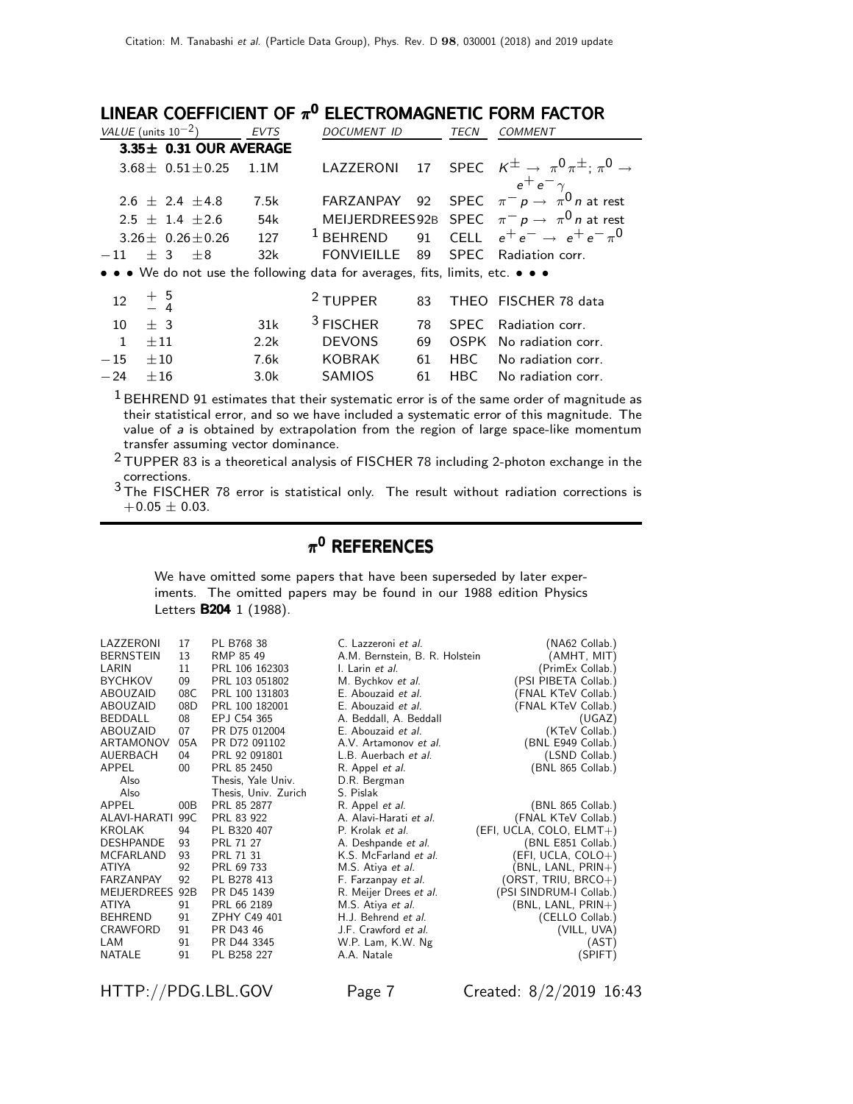LINEAR COEFFICIENT OF  $\pi^{\mathbf{0}}$  electromagnetic form factor

|              | VALUE (units $10^{-2}$ )    | <b>EVTS</b> | DOCUMENT ID                                                                   |    | TECN        | COMMENT                                                                       |
|--------------|-----------------------------|-------------|-------------------------------------------------------------------------------|----|-------------|-------------------------------------------------------------------------------|
|              | $3.35 \pm 0.31$ OUR AVERAGE |             |                                                                               |    |             |                                                                               |
|              | $3.68 \pm 0.51 \pm 0.25$    | 1.1M        |                                                                               |    |             | LAZZERONI 17 SPEC $K^{\pm} \rightarrow \pi^0 \pi^{\pm}$ ; $\pi^0 \rightarrow$ |
|              |                             |             |                                                                               |    |             | $e^+e^-\gamma$                                                                |
|              | $2.6 + 2.4 + 4.8$           | 7.5k        | FARZANPAY                                                                     | 92 |             | SPEC $\pi^- p \rightarrow \pi^0 n$ at rest                                    |
|              | $2.5 \pm 1.4 \pm 2.6$       | 54k         |                                                                               |    |             | MEIJERDREES92B SPEC $\pi^- p \to \pi^0 n$ at rest                             |
|              | $3.26 \pm 0.26 \pm 0.26$    | 127         | $1$ BEHREND                                                                   |    |             | 91 CELL $e^+e^- \rightarrow e^+e^- \pi^0$                                     |
| $-11$        | $\pm$ 3<br>$+8$             | 32k         | FONVIEILLE                                                                    | 89 |             | SPEC Radiation corr.                                                          |
|              |                             |             | • • • We do not use the following data for averages, fits, limits, etc. • • • |    |             |                                                                               |
| 12           | $+\frac{5}{4}$              |             | <sup>2</sup> TUPPER                                                           | 83 |             | THEO FISCHER 78 data                                                          |
| 10           | $+3$                        | 31k         | <sup>3</sup> FISCHER                                                          | 78 | <b>SPEC</b> | Radiation corr.                                                               |
| $\mathbf{1}$ | $+11$                       | 2.2k        | <b>DEVONS</b>                                                                 | 69 | <b>OSPK</b> | No radiation corr.                                                            |
| $-15$        | $\pm 10$                    | 7.6k        | <b>KOBRAK</b>                                                                 | 61 | HBC L       | No radiation corr.                                                            |
| $-24$        | ±16                         | 3.0k        | <b>SAMIOS</b>                                                                 | 61 | HBC L       | No radiation corr.                                                            |
|              |                             |             |                                                                               |    |             | $1.5 - 1.5 - 1.5$                                                             |

 $<sup>1</sup>$  BEHREND 91 estimates that their systematic error is of the same order of magnitude as</sup> their statistical error, and so we have included a systematic error of this magnitude. The value of a is obtained by extrapolation from the region of large space-like momentum transfer assuming vector dominance.

2 TUPPER 83 is a theoretical analysis of FISCHER 78 including 2-photon exchange in the corrections.

3 The FISCHER 78 error is statistical only. The result without radiation corrections is  $+0.05 \pm 0.03$ .

### $\pi^{\mathsf{0}}$  REFERENCES

We have omitted some papers that have been superseded by later experiments. The omitted papers may be found in our 1988 edition Physics Letters **B204** 1 (1988).

| LAZZERONI<br><b>BERNSTEIN</b><br>LARIN<br><b>BYCHKOV</b><br>ABOUZAID<br>ABOUZAID<br><b>BEDDALL</b><br>ABOUZAID<br>ARTAMONOV<br>AUERBACH<br>APPEL<br>Also | 17<br>13<br>11<br>09<br>08C<br>08D<br>08<br>07<br>05A<br>04<br>$00\,$ | PL B768 38<br>RMP 85 49<br>PRL 106 162303<br>PRL 103 051802<br>PRL 100 131803<br>PRL 100 182001<br>EPJ C54 365<br>PR D75 012004<br>PR D72 091102<br>PRL 92 091801<br>PRL 85 2450<br>Thesis, Yale Univ. | C. Lazzeroni <i>et al.</i><br>A.M. Bernstein, B. R. Holstein<br>I. Larin et al.<br>M. Bychkov et al.<br>E. Abouzaid et al.<br>E. Abouzaid et al.<br>A. Beddall, A. Beddall<br>E. Abouzaid et al.<br>A.V. Artamonov et al.<br>L.B. Auerbach et al.<br>R. Appel et al.<br>D.R. Bergman | (NA62 Collab.)<br>(AMHT, MIT)<br>(PrimEx Collab.)<br>(PSI PIBETA Collab.)<br>(FNAL KTeV Collab.)<br>(FNAL KTeV Collab.)<br>(UGAZ)<br>(KTeV Collab.)<br>(BNL E949 Collab.)<br>(LSND Collab.)<br>(BNL 865 Collab.) |
|----------------------------------------------------------------------------------------------------------------------------------------------------------|-----------------------------------------------------------------------|--------------------------------------------------------------------------------------------------------------------------------------------------------------------------------------------------------|--------------------------------------------------------------------------------------------------------------------------------------------------------------------------------------------------------------------------------------------------------------------------------------|------------------------------------------------------------------------------------------------------------------------------------------------------------------------------------------------------------------|
| Also                                                                                                                                                     |                                                                       | Thesis, Univ. Zurich                                                                                                                                                                                   | S. Pislak                                                                                                                                                                                                                                                                            |                                                                                                                                                                                                                  |
| APPEL                                                                                                                                                    | 00B                                                                   | PRL 85 2877                                                                                                                                                                                            | R. Appel et al.                                                                                                                                                                                                                                                                      | (BNL 865 Collab.)                                                                                                                                                                                                |
| ALAVI-HARATI                                                                                                                                             | 99C                                                                   | PRL 83 922                                                                                                                                                                                             | A. Alavi-Harati et al.                                                                                                                                                                                                                                                               | (FNAL KTeV Collab.)                                                                                                                                                                                              |
| <b>KROLAK</b>                                                                                                                                            | 94                                                                    | PL B320 407                                                                                                                                                                                            | P. Krolak et al.                                                                                                                                                                                                                                                                     | (EFI, UCLA, COLO, ELMT+)                                                                                                                                                                                         |
| <b>DESHPANDE</b>                                                                                                                                         | 93                                                                    | PRL 71 27                                                                                                                                                                                              | A. Deshpande et al.                                                                                                                                                                                                                                                                  | (BNL E851 Collab.)                                                                                                                                                                                               |
| <b>MCFARLAND</b>                                                                                                                                         | 93                                                                    | PRL 71 31                                                                                                                                                                                              | K.S. McFarland et al.                                                                                                                                                                                                                                                                | (EFI, UCLA, COLO+)                                                                                                                                                                                               |
| <b>ATIYA</b>                                                                                                                                             | 92                                                                    | PRL 69 733                                                                                                                                                                                             | M.S. Atiya et al.                                                                                                                                                                                                                                                                    | (BNL, LANL, PRIN+)                                                                                                                                                                                               |
| FARZANPAY                                                                                                                                                | 92                                                                    | PL B278 413                                                                                                                                                                                            | F. Farzanpay et al.                                                                                                                                                                                                                                                                  | (ORST, TRIU, BRCO+)                                                                                                                                                                                              |
| <b>MEIJERDREES</b>                                                                                                                                       | 92B                                                                   | PR D45 1439                                                                                                                                                                                            | R. Meijer Drees et al.                                                                                                                                                                                                                                                               | (PSI SINDRUM-I Collab.)                                                                                                                                                                                          |
| <b>ATIYA</b>                                                                                                                                             | 91                                                                    | PRL 66 2189                                                                                                                                                                                            | M.S. Atiya et al.                                                                                                                                                                                                                                                                    | (BNL, LANL, PRIN+)                                                                                                                                                                                               |
| <b>BEHREND</b>                                                                                                                                           | 91                                                                    | ZPHY C49 401                                                                                                                                                                                           | H.J. Behrend et al.                                                                                                                                                                                                                                                                  | (CELLO Collab.)                                                                                                                                                                                                  |
| CRAWFORD                                                                                                                                                 | 91                                                                    | PR D43 46                                                                                                                                                                                              | J.F. Crawford et al.                                                                                                                                                                                                                                                                 | (VILL, UVA)                                                                                                                                                                                                      |
| LAM                                                                                                                                                      | 91                                                                    | PR D44 3345                                                                                                                                                                                            | W.P. Lam, K.W. Ng                                                                                                                                                                                                                                                                    | (AST)                                                                                                                                                                                                            |
| <b>NATALE</b>                                                                                                                                            | 91                                                                    | PL B258 227                                                                                                                                                                                            | A.A. Natale                                                                                                                                                                                                                                                                          | (SPIFT)                                                                                                                                                                                                          |

HTTP://PDG.LBL.GOV Page 7 Created: 8/2/2019 16:43